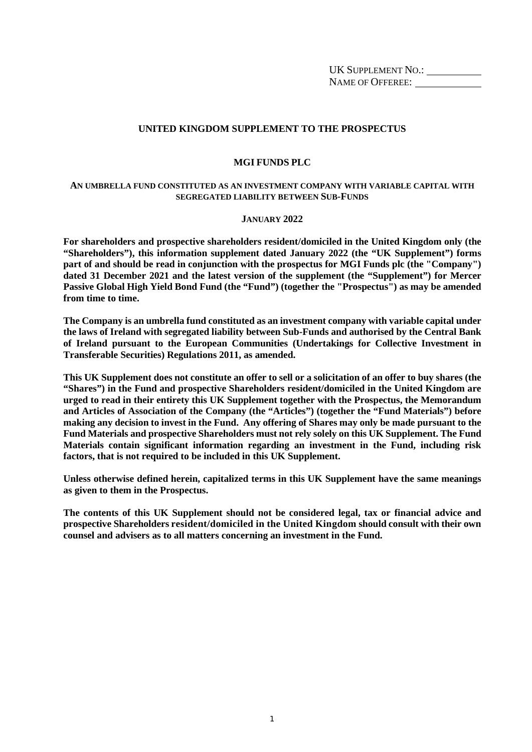UK SUPPLEMENT NO.: NAME OF OFFEREE:

## **UNITED KINGDOM SUPPLEMENT TO THE PROSPECTUS**

#### **MGI FUNDS PLC**

#### **AN UMBRELLA FUND CONSTITUTED AS AN INVESTMENT COMPANY WITH VARIABLE CAPITAL WITH SEGREGATED LIABILITY BETWEEN SUB-FUNDS**

#### **JANUARY 2022**

**For shareholders and prospective shareholders resident/domiciled in the United Kingdom only (the "Shareholders"), this information supplement dated January 2022 (the "UK Supplement") forms part of and should be read in conjunction with the prospectus for MGI Funds plc (the "Company") dated 31 December 2021 and the latest version of the supplement (the "Supplement") for Mercer Passive Global High Yield Bond Fund (the "Fund") (together the "Prospectus") as may be amended from time to time.** 

**The Company is an umbrella fund constituted as an investment company with variable capital under the laws of Ireland with segregated liability between Sub-Funds and authorised by the Central Bank of Ireland pursuant to the European Communities (Undertakings for Collective Investment in Transferable Securities) Regulations 2011, as amended.** 

**This UK Supplement does not constitute an offer to sell or a solicitation of an offer to buy shares (the "Shares") in the Fund and prospective Shareholders resident/domiciled in the United Kingdom are urged to read in their entirety this UK Supplement together with the Prospectus, the Memorandum and Articles of Association of the Company (the "Articles") (together the "Fund Materials") before making any decision to invest in the Fund. Any offering of Shares may only be made pursuant to the Fund Materials and prospective Shareholders must not rely solely on this UK Supplement. The Fund Materials contain significant information regarding an investment in the Fund, including risk factors, that is not required to be included in this UK Supplement.** 

**Unless otherwise defined herein, capitalized terms in this UK Supplement have the same meanings as given to them in the Prospectus.** 

**The contents of this UK Supplement should not be considered legal, tax or financial advice and prospective Shareholders resident/domiciled in the United Kingdom should consult with their own counsel and advisers as to all matters concerning an investment in the Fund.**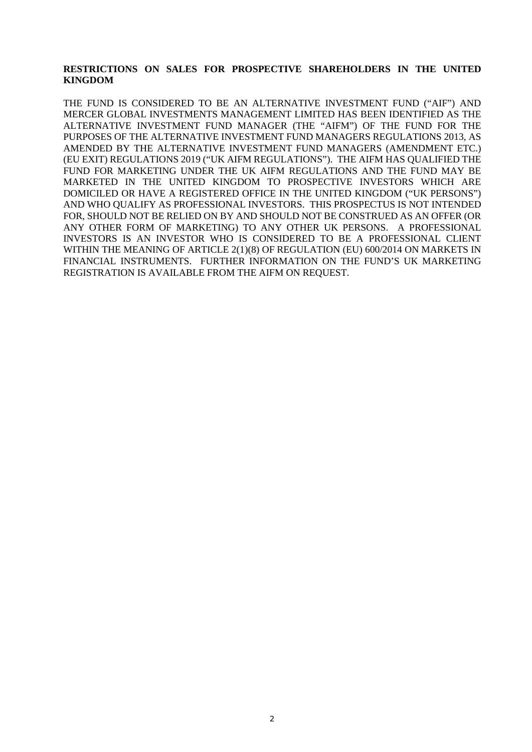## **RESTRICTIONS ON SALES FOR PROSPECTIVE SHAREHOLDERS IN THE UNITED KINGDOM**

THE FUND IS CONSIDERED TO BE AN ALTERNATIVE INVESTMENT FUND ("AIF") AND MERCER GLOBAL INVESTMENTS MANAGEMENT LIMITED HAS BEEN IDENTIFIED AS THE ALTERNATIVE INVESTMENT FUND MANAGER (THE "AIFM") OF THE FUND FOR THE PURPOSES OF THE ALTERNATIVE INVESTMENT FUND MANAGERS REGULATIONS 2013, AS AMENDED BY THE ALTERNATIVE INVESTMENT FUND MANAGERS (AMENDMENT ETC.) (EU EXIT) REGULATIONS 2019 ("UK AIFM REGULATIONS"). THE AIFM HAS QUALIFIED THE FUND FOR MARKETING UNDER THE UK AIFM REGULATIONS AND THE FUND MAY BE MARKETED IN THE UNITED KINGDOM TO PROSPECTIVE INVESTORS WHICH ARE DOMICILED OR HAVE A REGISTERED OFFICE IN THE UNITED KINGDOM ("UK PERSONS") AND WHO QUALIFY AS PROFESSIONAL INVESTORS. THIS PROSPECTUS IS NOT INTENDED FOR, SHOULD NOT BE RELIED ON BY AND SHOULD NOT BE CONSTRUED AS AN OFFER (OR ANY OTHER FORM OF MARKETING) TO ANY OTHER UK PERSONS. A PROFESSIONAL INVESTORS IS AN INVESTOR WHO IS CONSIDERED TO BE A PROFESSIONAL CLIENT WITHIN THE MEANING OF ARTICLE 2(1)(8) OF REGULATION (EU) 600/2014 ON MARKETS IN FINANCIAL INSTRUMENTS. FURTHER INFORMATION ON THE FUND'S UK MARKETING REGISTRATION IS AVAILABLE FROM THE AIFM ON REQUEST.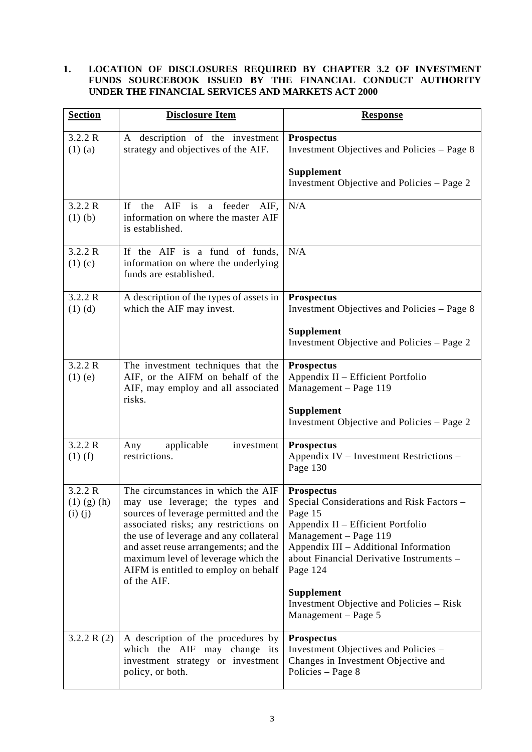## **1. LOCATION OF DISCLOSURES REQUIRED BY CHAPTER 3.2 OF INVESTMENT FUNDS SOURCEBOOK ISSUED BY THE FINANCIAL CONDUCT AUTHORITY UNDER THE FINANCIAL SERVICES AND MARKETS ACT 2000**

| <b>Section</b>                              | <b>Disclosure Item</b>                                                                                                                                                                                                                                                                                                                   | <b>Response</b>                                                                                                                                                                                                                                                                                                                  |
|---------------------------------------------|------------------------------------------------------------------------------------------------------------------------------------------------------------------------------------------------------------------------------------------------------------------------------------------------------------------------------------------|----------------------------------------------------------------------------------------------------------------------------------------------------------------------------------------------------------------------------------------------------------------------------------------------------------------------------------|
| 3.2.2 R<br>$(1)$ (a)                        | A description of the investment<br>strategy and objectives of the AIF.                                                                                                                                                                                                                                                                   | <b>Prospectus</b><br>Investment Objectives and Policies – Page 8                                                                                                                                                                                                                                                                 |
|                                             |                                                                                                                                                                                                                                                                                                                                          | Supplement<br>Investment Objective and Policies – Page 2                                                                                                                                                                                                                                                                         |
| 3.2.2 R<br>$(1)$ $(b)$                      | If<br>the<br>$\rm{AIF}$<br>is<br>a feeder<br>AIF,<br>information on where the master AIF<br>is established.                                                                                                                                                                                                                              | N/A                                                                                                                                                                                                                                                                                                                              |
| 3.2.2 R<br>$(1)$ (c)                        | If the AIF is a fund of funds,<br>information on where the underlying<br>funds are established.                                                                                                                                                                                                                                          | N/A                                                                                                                                                                                                                                                                                                                              |
| 3.2.2 R<br>$(1)$ (d)                        | A description of the types of assets in<br>which the AIF may invest.                                                                                                                                                                                                                                                                     | <b>Prospectus</b><br>Investment Objectives and Policies – Page 8                                                                                                                                                                                                                                                                 |
|                                             |                                                                                                                                                                                                                                                                                                                                          | Supplement<br>Investment Objective and Policies – Page 2                                                                                                                                                                                                                                                                         |
| 3.2.2 R<br>$(1)$ (e)                        | The investment techniques that the<br>AIF, or the AIFM on behalf of the<br>AIF, may employ and all associated<br>risks.                                                                                                                                                                                                                  | <b>Prospectus</b><br>Appendix II - Efficient Portfolio<br>Management - Page 119                                                                                                                                                                                                                                                  |
|                                             |                                                                                                                                                                                                                                                                                                                                          | Supplement<br>Investment Objective and Policies – Page 2                                                                                                                                                                                                                                                                         |
| 3.2.2 R<br>$(1)$ (f)                        | applicable<br>investment<br>Any<br>restrictions.                                                                                                                                                                                                                                                                                         | <b>Prospectus</b><br>Appendix IV – Investment Restrictions –<br>Page 130                                                                                                                                                                                                                                                         |
| 3.2.2 R<br>$(1)$ $(g)$ $(h)$<br>$(i)$ $(j)$ | The circumstances in which the AIF<br>may use leverage; the types and<br>sources of leverage permitted and the<br>associated risks; any restrictions on<br>the use of leverage and any collateral<br>and asset reuse arrangements; and the<br>maximum level of leverage which the<br>AIFM is entitled to employ on behalf<br>of the AIF. | <b>Prospectus</b><br>Special Considerations and Risk Factors -<br>Page 15<br>Appendix II – Efficient Portfolio<br>Management - Page 119<br>Appendix III - Additional Information<br>about Financial Derivative Instruments -<br>Page 124<br><b>Supplement</b><br>Investment Objective and Policies – Risk<br>Management - Page 5 |
| 3.2.2 R $(2)$                               | A description of the procedures by<br>which the AIF may change its<br>investment strategy or investment<br>policy, or both.                                                                                                                                                                                                              | <b>Prospectus</b><br>Investment Objectives and Policies -<br>Changes in Investment Objective and<br>Policies - Page 8                                                                                                                                                                                                            |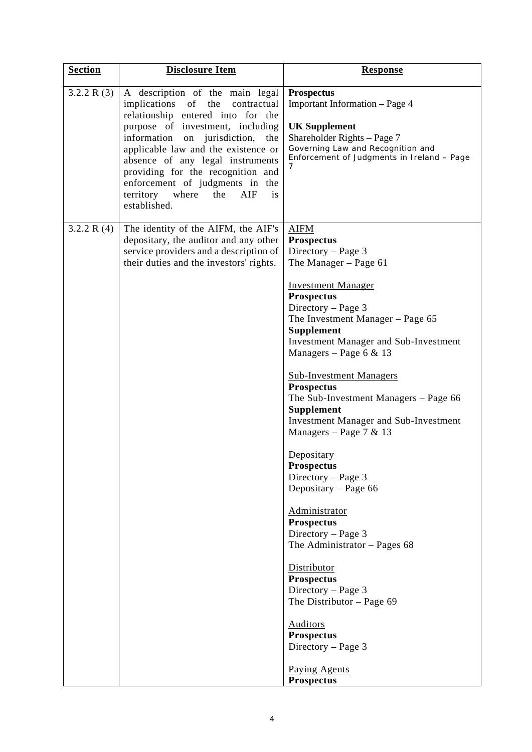| <b>Section</b> | <b>Disclosure Item</b>                                                                                                                                                                                                                                                                                                                                                                                    | <b>Response</b>                                                                                                                                                                                                                                                                                                                                                                                                                                                                                                                                                                                                                                                                                                                                                                                                                                  |
|----------------|-----------------------------------------------------------------------------------------------------------------------------------------------------------------------------------------------------------------------------------------------------------------------------------------------------------------------------------------------------------------------------------------------------------|--------------------------------------------------------------------------------------------------------------------------------------------------------------------------------------------------------------------------------------------------------------------------------------------------------------------------------------------------------------------------------------------------------------------------------------------------------------------------------------------------------------------------------------------------------------------------------------------------------------------------------------------------------------------------------------------------------------------------------------------------------------------------------------------------------------------------------------------------|
| 3.2.2 R(3)     | A description of the main legal<br>implications of the<br>contractual<br>relationship entered into for the<br>purpose of investment, including<br>information on jurisdiction,<br>the<br>applicable law and the existence or<br>absence of any legal instruments<br>providing for the recognition and<br>enforcement of judgments in the<br>territory<br>where<br>AIF<br>the<br><i>is</i><br>established. | <b>Prospectus</b><br>Important Information - Page 4<br><b>UK Supplement</b><br>Shareholder Rights - Page 7<br>Governing Law and Recognition and<br>Enforcement of Judgments in Ireland - Page<br>7                                                                                                                                                                                                                                                                                                                                                                                                                                                                                                                                                                                                                                               |
| 3.2.2 R $(4)$  | The identity of the AIFM, the AIF's<br>depositary, the auditor and any other<br>service providers and a description of<br>their duties and the investors' rights.                                                                                                                                                                                                                                         | <b>AIFM</b><br><b>Prospectus</b><br>Directory – Page 3<br>The Manager - Page 61<br><b>Investment Manager</b><br><b>Prospectus</b><br>Directory - Page 3<br>The Investment Manager - Page 65<br><b>Supplement</b><br><b>Investment Manager and Sub-Investment</b><br>Managers – Page 6 & 13<br><b>Sub-Investment Managers</b><br><b>Prospectus</b><br>The Sub-Investment Managers – Page 66<br>Supplement<br><b>Investment Manager and Sub-Investment</b><br>Managers – Page 7 & 13<br>Depositary<br><b>Prospectus</b><br>Directory - Page 3<br>Depositary – Page 66<br>Administrator<br><b>Prospectus</b><br>Directory - Page 3<br>The Administrator $-$ Pages 68<br>Distributor<br><b>Prospectus</b><br>Directory - Page 3<br>The Distributor $-$ Page 69<br><b>Auditors</b><br><b>Prospectus</b><br>Directory - Page 3<br><b>Paying Agents</b> |
|                |                                                                                                                                                                                                                                                                                                                                                                                                           | <b>Prospectus</b>                                                                                                                                                                                                                                                                                                                                                                                                                                                                                                                                                                                                                                                                                                                                                                                                                                |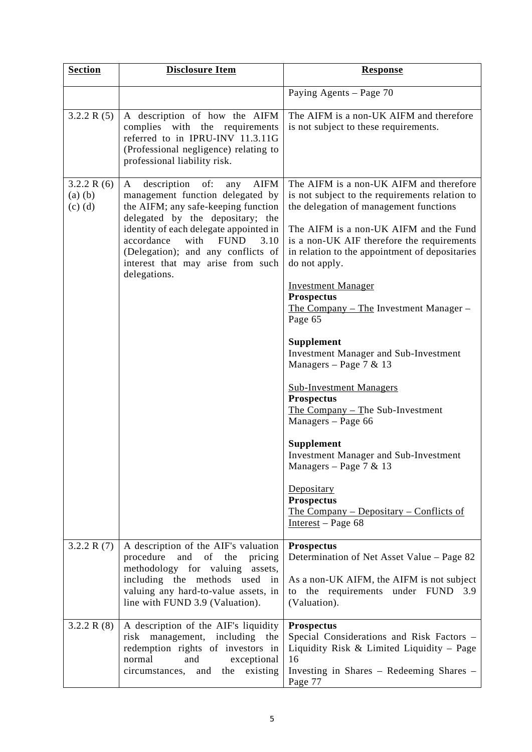| <b>Section</b>                           | <b>Disclosure Item</b>                                                                                                                                                                                                                                                                                                                         | <b>Response</b>                                                                                                                                                                                                                                                                                                                                                                                                                                                                                                                                                                                                                                                                                                                                                                                                                      |
|------------------------------------------|------------------------------------------------------------------------------------------------------------------------------------------------------------------------------------------------------------------------------------------------------------------------------------------------------------------------------------------------|--------------------------------------------------------------------------------------------------------------------------------------------------------------------------------------------------------------------------------------------------------------------------------------------------------------------------------------------------------------------------------------------------------------------------------------------------------------------------------------------------------------------------------------------------------------------------------------------------------------------------------------------------------------------------------------------------------------------------------------------------------------------------------------------------------------------------------------|
|                                          |                                                                                                                                                                                                                                                                                                                                                | Paying Agents - Page 70                                                                                                                                                                                                                                                                                                                                                                                                                                                                                                                                                                                                                                                                                                                                                                                                              |
| 3.2.2 R(5)                               | A description of how the AIFM<br>complies with the requirements<br>referred to in IPRU-INV 11.3.11G<br>(Professional negligence) relating to<br>professional liability risk.                                                                                                                                                                   | The AIFM is a non-UK AIFM and therefore<br>is not subject to these requirements.                                                                                                                                                                                                                                                                                                                                                                                                                                                                                                                                                                                                                                                                                                                                                     |
| 3.2.2 R(6)<br>$(a)$ $(b)$<br>$(c)$ $(d)$ | of:<br><b>AIFM</b><br>description<br>A<br>any<br>management function delegated by<br>the AIFM; any safe-keeping function<br>delegated by the depositary; the<br>identity of each delegate appointed in<br>accordance<br><b>FUND</b><br>with<br>3.10<br>(Delegation); and any conflicts of<br>interest that may arise from such<br>delegations. | The AIFM is a non-UK AIFM and therefore<br>is not subject to the requirements relation to<br>the delegation of management functions<br>The AIFM is a non-UK AIFM and the Fund<br>is a non-UK AIF therefore the requirements<br>in relation to the appointment of depositaries<br>do not apply.<br><b>Investment Manager</b><br><b>Prospectus</b><br><u>The Company – The Investment Manager –</u><br>Page 65<br><b>Supplement</b><br>Investment Manager and Sub-Investment<br>Managers – Page 7 & 13<br><b>Sub-Investment Managers</b><br><b>Prospectus</b><br>The Company $-$ The Sub-Investment<br>Managers - Page 66<br><b>Supplement</b><br><b>Investment Manager and Sub-Investment</b><br>Managers – Page 7 & 13<br>Depositary<br><b>Prospectus</b><br><u> The Company – Depositary – Conflicts of</u><br>Interest – Page $68$ |
| 3.2.2 R $(7)$                            | A description of the AIF's valuation<br>procedure<br>and of the<br>pricing<br>methodology for valuing<br>assets,<br>including the methods used in<br>valuing any hard-to-value assets, in<br>line with FUND 3.9 (Valuation).                                                                                                                   | Prospectus<br>Determination of Net Asset Value - Page 82<br>As a non-UK AIFM, the AIFM is not subject<br>to the requirements under FUND 3.9<br>(Valuation).                                                                                                                                                                                                                                                                                                                                                                                                                                                                                                                                                                                                                                                                          |
| 3.2.2 R $(8)$                            | A description of the AIF's liquidity<br>risk management, including the<br>redemption rights of investors in<br>normal<br>and<br>exceptional<br>circumstances, and<br>the existing                                                                                                                                                              | <b>Prospectus</b><br>Special Considerations and Risk Factors -<br>Liquidity Risk & Limited Liquidity – Page<br>16<br>Investing in Shares - Redeeming Shares -<br>Page 77                                                                                                                                                                                                                                                                                                                                                                                                                                                                                                                                                                                                                                                             |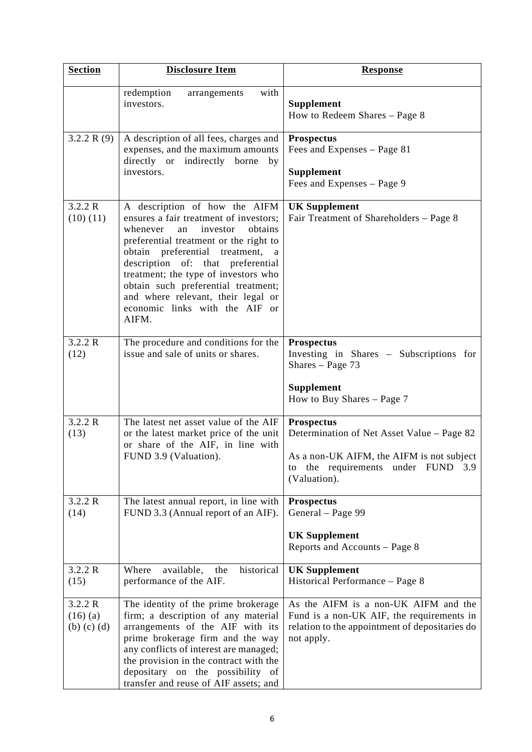| <b>Section</b>                             | <b>Disclosure Item</b>                                                                                                                                                                                                                                                                                                                                                                                    | <b>Response</b>                                                                                                                                                |
|--------------------------------------------|-----------------------------------------------------------------------------------------------------------------------------------------------------------------------------------------------------------------------------------------------------------------------------------------------------------------------------------------------------------------------------------------------------------|----------------------------------------------------------------------------------------------------------------------------------------------------------------|
|                                            | redemption<br>with<br>arrangements<br>investors.                                                                                                                                                                                                                                                                                                                                                          | <b>Supplement</b><br>How to Redeem Shares - Page 8                                                                                                             |
| 3.2.2 R $(9)$                              | A description of all fees, charges and<br>expenses, and the maximum amounts<br>directly or indirectly<br>borne<br>by<br>investors.                                                                                                                                                                                                                                                                        | <b>Prospectus</b><br>Fees and Expenses - Page 81<br>Supplement<br>Fees and Expenses - Page 9                                                                   |
| 3.2.2 R<br>(10)(11)                        | A description of how the AIFM<br>ensures a fair treatment of investors;<br>obtains<br>whenever<br>investor<br>an<br>preferential treatment or the right to<br>obtain preferential<br>treatment,<br>a<br>description of: that preferential<br>treatment; the type of investors who<br>obtain such preferential treatment;<br>and where relevant, their legal or<br>economic links with the AIF or<br>AIFM. | <b>UK Supplement</b><br>Fair Treatment of Shareholders - Page 8                                                                                                |
| 3.2.2 R<br>(12)                            | The procedure and conditions for the<br>issue and sale of units or shares.                                                                                                                                                                                                                                                                                                                                | <b>Prospectus</b><br>Investing in Shares - Subscriptions for<br>Shares $-$ Page 73<br><b>Supplement</b><br>How to Buy Shares - Page 7                          |
| 3.2.2 R<br>(13)                            | The latest net asset value of the AIF<br>or the latest market price of the unit<br>or share of the AIF, in line with<br>FUND 3.9 (Valuation).                                                                                                                                                                                                                                                             | Prospectus<br>Determination of Net Asset Value – Page 82<br>As a non-UK AIFM, the AIFM is not subject<br>to the requirements under FUND<br>3.9<br>(Valuation). |
| 3.2.2 R<br>(14)                            | The latest annual report, in line with<br>FUND 3.3 (Annual report of an AIF).                                                                                                                                                                                                                                                                                                                             | <b>Prospectus</b><br>General - Page 99<br><b>UK Supplement</b><br>Reports and Accounts - Page 8                                                                |
| 3.2.2 R<br>(15)                            | historical<br>available,<br>Where<br>the<br>performance of the AIF.                                                                                                                                                                                                                                                                                                                                       | <b>UK Supplement</b><br>Historical Performance - Page 8                                                                                                        |
| 3.2.2 R<br>$(16)$ (a)<br>$(b)$ $(c)$ $(d)$ | The identity of the prime brokerage<br>firm; a description of any material<br>arrangements of the AIF with its<br>prime brokerage firm and the way<br>any conflicts of interest are managed;<br>the provision in the contract with the<br>depositary on the possibility of<br>transfer and reuse of AIF assets; and                                                                                       | As the AIFM is a non-UK AIFM and the<br>Fund is a non-UK AIF, the requirements in<br>relation to the appointment of depositaries do<br>not apply.              |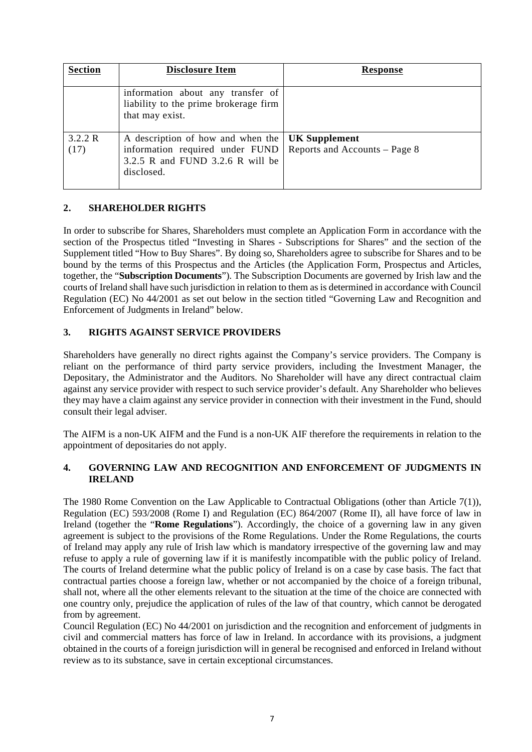| <b>Section</b>  | <b>Disclosure Item</b>                                                                                                                 | <b>Response</b>               |
|-----------------|----------------------------------------------------------------------------------------------------------------------------------------|-------------------------------|
|                 | information about any transfer of<br>liability to the prime brokerage firm<br>that may exist.                                          |                               |
| 3.2.2 R<br>(17) | A description of how and when the   UK Supplement<br>information required under FUND<br>3.2.5 R and FUND 3.2.6 R will be<br>disclosed. | Reports and Accounts – Page 8 |

# **2. SHAREHOLDER RIGHTS**

In order to subscribe for Shares, Shareholders must complete an Application Form in accordance with the section of the Prospectus titled "Investing in Shares - Subscriptions for Shares" and the section of the Supplement titled "How to Buy Shares". By doing so, Shareholders agree to subscribe for Shares and to be bound by the terms of this Prospectus and the Articles (the Application Form, Prospectus and Articles, together, the "**Subscription Documents**"). The Subscription Documents are governed by Irish law and the courts of Ireland shall have such jurisdiction in relation to them as is determined in accordance with Council Regulation (EC) No 44/2001 as set out below in the section titled "Governing Law and Recognition and Enforcement of Judgments in Ireland" below.

# **3. RIGHTS AGAINST SERVICE PROVIDERS**

Shareholders have generally no direct rights against the Company's service providers. The Company is reliant on the performance of third party service providers, including the Investment Manager, the Depositary, the Administrator and the Auditors. No Shareholder will have any direct contractual claim against any service provider with respect to such service provider's default. Any Shareholder who believes they may have a claim against any service provider in connection with their investment in the Fund, should consult their legal adviser.

The AIFM is a non-UK AIFM and the Fund is a non-UK AIF therefore the requirements in relation to the appointment of depositaries do not apply.

# **4. GOVERNING LAW AND RECOGNITION AND ENFORCEMENT OF JUDGMENTS IN IRELAND**

The 1980 Rome Convention on the Law Applicable to Contractual Obligations (other than Article 7(1)), Regulation (EC) 593/2008 (Rome I) and Regulation (EC) 864/2007 (Rome II), all have force of law in Ireland (together the "**Rome Regulations**"). Accordingly, the choice of a governing law in any given agreement is subject to the provisions of the Rome Regulations. Under the Rome Regulations, the courts of Ireland may apply any rule of Irish law which is mandatory irrespective of the governing law and may refuse to apply a rule of governing law if it is manifestly incompatible with the public policy of Ireland. The courts of Ireland determine what the public policy of Ireland is on a case by case basis. The fact that contractual parties choose a foreign law, whether or not accompanied by the choice of a foreign tribunal, shall not, where all the other elements relevant to the situation at the time of the choice are connected with one country only, prejudice the application of rules of the law of that country, which cannot be derogated from by agreement.

Council Regulation (EC) No 44/2001 on jurisdiction and the recognition and enforcement of judgments in civil and commercial matters has force of law in Ireland. In accordance with its provisions, a judgment obtained in the courts of a foreign jurisdiction will in general be recognised and enforced in Ireland without review as to its substance, save in certain exceptional circumstances.